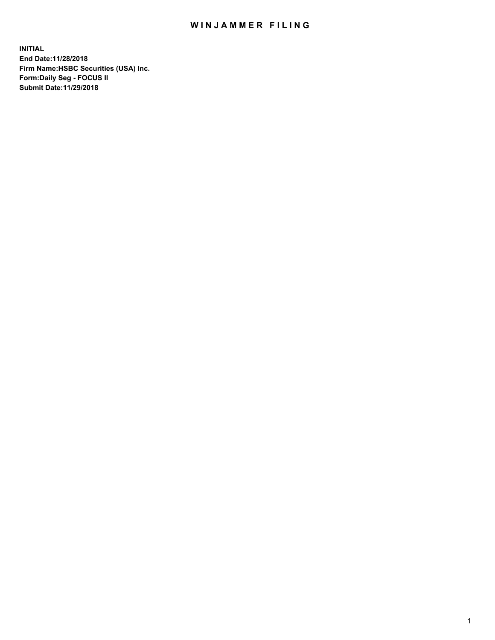## WIN JAMMER FILING

**INITIAL End Date:11/28/2018 Firm Name:HSBC Securities (USA) Inc. Form:Daily Seg - FOCUS II Submit Date:11/29/2018**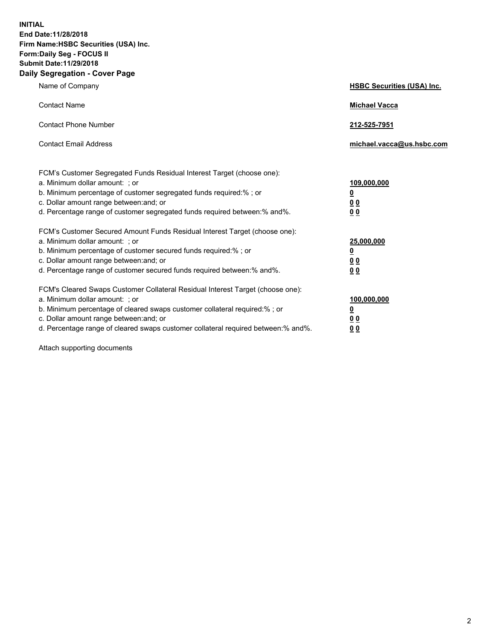**INITIAL End Date:11/28/2018 Firm Name:HSBC Securities (USA) Inc. Form:Daily Seg - FOCUS II Submit Date:11/29/2018 Daily Segregation - Cover Page**

| Name of Company                                                                                                                                                                                                                                                                                                                | <b>HSBC Securities (USA) Inc.</b>                    |
|--------------------------------------------------------------------------------------------------------------------------------------------------------------------------------------------------------------------------------------------------------------------------------------------------------------------------------|------------------------------------------------------|
| <b>Contact Name</b>                                                                                                                                                                                                                                                                                                            | <b>Michael Vacca</b>                                 |
| <b>Contact Phone Number</b>                                                                                                                                                                                                                                                                                                    | 212-525-7951                                         |
| <b>Contact Email Address</b>                                                                                                                                                                                                                                                                                                   | michael.vacca@us.hsbc.com                            |
| FCM's Customer Segregated Funds Residual Interest Target (choose one):<br>a. Minimum dollar amount: ; or<br>b. Minimum percentage of customer segregated funds required:% ; or<br>c. Dollar amount range between: and; or<br>d. Percentage range of customer segregated funds required between:% and%.                         | 109,000,000<br>₫<br>0 <sub>0</sub><br>0 <sub>0</sub> |
| FCM's Customer Secured Amount Funds Residual Interest Target (choose one):<br>a. Minimum dollar amount: ; or<br>b. Minimum percentage of customer secured funds required:%; or<br>c. Dollar amount range between: and; or<br>d. Percentage range of customer secured funds required between:% and%.                            | 25,000,000<br><u>0</u><br>0 <sub>0</sub><br>00       |
| FCM's Cleared Swaps Customer Collateral Residual Interest Target (choose one):<br>a. Minimum dollar amount: ; or<br>b. Minimum percentage of cleared swaps customer collateral required:% ; or<br>c. Dollar amount range between: and; or<br>d. Percentage range of cleared swaps customer collateral required between:% and%. | 100,000,000<br><u>0</u><br><u>00</u><br>00           |

Attach supporting documents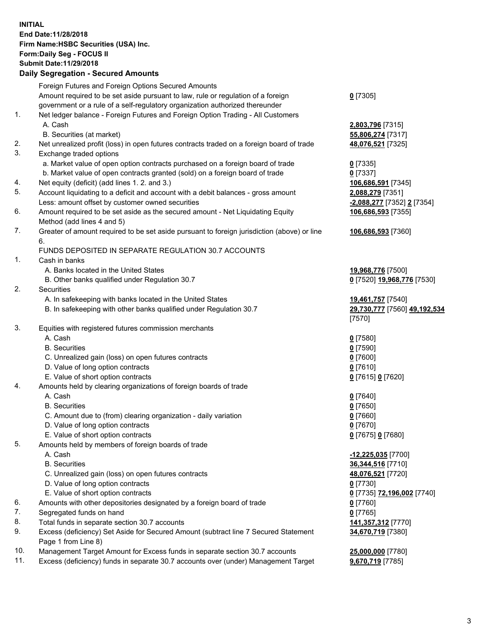**INITIAL End Date:11/28/2018 Firm Name:HSBC Securities (USA) Inc. Form:Daily Seg - FOCUS II Submit Date:11/29/2018 Daily Segregation - Secured Amounts** Foreign Futures and Foreign Options Secured Amounts Amount required to be set aside pursuant to law, rule or regulation of a foreign government or a rule of a self-regulatory organization authorized thereunder **0** [7305] 1. Net ledger balance - Foreign Futures and Foreign Option Trading - All Customers A. Cash **2,803,796** [7315] B. Securities (at market) **55,806,274** [7317] 2. Net unrealized profit (loss) in open futures contracts traded on a foreign board of trade **48,076,521** [7325] 3. Exchange traded options a. Market value of open option contracts purchased on a foreign board of trade **0** [7335] b. Market value of open contracts granted (sold) on a foreign board of trade **0** [7337] 4. Net equity (deficit) (add lines 1. 2. and 3.) **106,686,591** [7345] 5. Account liquidating to a deficit and account with a debit balances - gross amount **2,088,279** [7351] Less: amount offset by customer owned securities **-2,088,277** [7352] **2** [7354] 6. Amount required to be set aside as the secured amount - Net Liquidating Equity Method (add lines 4 and 5) **106,686,593** [7355] 7. Greater of amount required to be set aside pursuant to foreign jurisdiction (above) or line 6. **106,686,593** [7360] FUNDS DEPOSITED IN SEPARATE REGULATION 30.7 ACCOUNTS 1. Cash in banks A. Banks located in the United States **19,968,776** [7500] B. Other banks qualified under Regulation 30.7 **0** [7520] **19,968,776** [7530] 2. Securities A. In safekeeping with banks located in the United States **19,461,757** [7540] B. In safekeeping with other banks qualified under Regulation 30.7 **29,730,777** [7560] **49,192,534** [7570] 3. Equities with registered futures commission merchants A. Cash **0** [7580] B. Securities **0** [7590] C. Unrealized gain (loss) on open futures contracts **0** [7600] D. Value of long option contracts **0** [7610] E. Value of short option contracts **0** [7615] **0** [7620] 4. Amounts held by clearing organizations of foreign boards of trade A. Cash **0** [7640] B. Securities **0** [7650] C. Amount due to (from) clearing organization - daily variation **0** [7660] D. Value of long option contracts **0** [7670] E. Value of short option contracts **0** [7675] **0** [7680] 5. Amounts held by members of foreign boards of trade A. Cash **-12,225,035** [7700] B. Securities **36,344,516** [7710] C. Unrealized gain (loss) on open futures contracts **48,076,521** [7720] D. Value of long option contracts **0** [7730] E. Value of short option contracts **0** [7735] **72,196,002** [7740] 6. Amounts with other depositories designated by a foreign board of trade **0** [7760] 7. Segregated funds on hand **0** [7765] 8. Total funds in separate section 30.7 accounts **141,357,312** [7770] 9. Excess (deficiency) Set Aside for Secured Amount (subtract line 7 Secured Statement Page 1 from Line 8) **34,670,719** [7380]

10. Management Target Amount for Excess funds in separate section 30.7 accounts **25,000,000** [7780]

11. Excess (deficiency) funds in separate 30.7 accounts over (under) Management Target **9,670,719** [7785]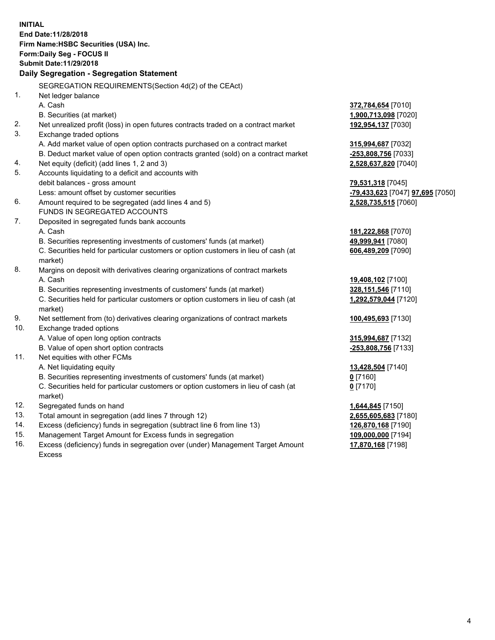**INITIAL End Date:11/28/2018 Firm Name:HSBC Securities (USA) Inc. Form:Daily Seg - FOCUS II Submit Date:11/29/2018 Daily Segregation - Segregation Statement** SEGREGATION REQUIREMENTS(Section 4d(2) of the CEAct) 1. Net ledger balance A. Cash **372,784,654** [7010] B. Securities (at market) **1,900,713,098** [7020] 2. Net unrealized profit (loss) in open futures contracts traded on a contract market **192,954,137** [7030] 3. Exchange traded options A. Add market value of open option contracts purchased on a contract market **315,994,687** [7032] B. Deduct market value of open option contracts granted (sold) on a contract market **-253,808,756** [7033] 4. Net equity (deficit) (add lines 1, 2 and 3) **2,528,637,820** [7040] 5. Accounts liquidating to a deficit and accounts with debit balances - gross amount **79,531,318** [7045] Less: amount offset by customer securities **-79,433,623** [7047] **97,695** [7050] 6. Amount required to be segregated (add lines 4 and 5) **2,528,735,515** [7060] FUNDS IN SEGREGATED ACCOUNTS 7. Deposited in segregated funds bank accounts A. Cash **181,222,868** [7070] B. Securities representing investments of customers' funds (at market) **49,999,941** [7080] C. Securities held for particular customers or option customers in lieu of cash (at market) **606,489,209** [7090] 8. Margins on deposit with derivatives clearing organizations of contract markets A. Cash **19,408,102** [7100] B. Securities representing investments of customers' funds (at market) **328,151,546** [7110] C. Securities held for particular customers or option customers in lieu of cash (at market) **1,292,579,044** [7120] 9. Net settlement from (to) derivatives clearing organizations of contract markets **100,495,693** [7130] 10. Exchange traded options A. Value of open long option contracts **315,994,687** [7132] B. Value of open short option contracts **-253,808,756** [7133] 11. Net equities with other FCMs A. Net liquidating equity **13,428,504** [7140] B. Securities representing investments of customers' funds (at market) **0** [7160] C. Securities held for particular customers or option customers in lieu of cash (at market) **0** [7170] 12. Segregated funds on hand **1,644,845** [7150] 13. Total amount in segregation (add lines 7 through 12) **2,655,605,683** [7180] 14. Excess (deficiency) funds in segregation (subtract line 6 from line 13) **126,870,168** [7190] 15. Management Target Amount for Excess funds in segregation **109,000,000** [7194] **17,870,168** [7198]

16. Excess (deficiency) funds in segregation over (under) Management Target Amount Excess